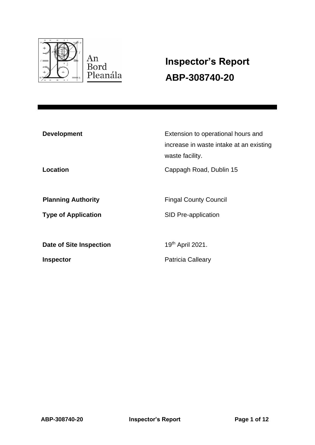

# **Inspector's Report ABP-308740-20**

| <b>Development</b>         | Extension to operational hours and<br>increase in waste intake at an existing<br>waste facility. |
|----------------------------|--------------------------------------------------------------------------------------------------|
| Location                   | Cappagh Road, Dublin 15                                                                          |
| <b>Planning Authority</b>  | <b>Fingal County Council</b>                                                                     |
| <b>Type of Application</b> | SID Pre-application                                                                              |
| Date of Site Inspection    | 19th April 2021.                                                                                 |
| <b>Inspector</b>           | Patricia Calleary                                                                                |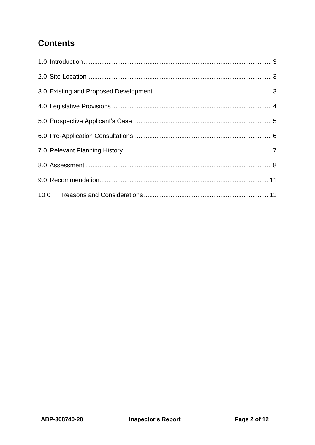## **Contents**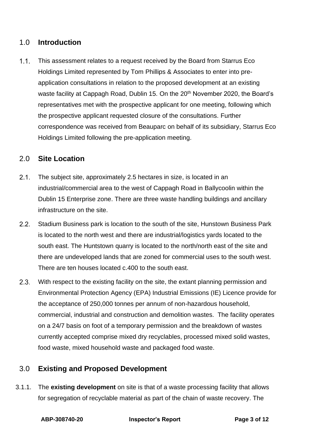#### <span id="page-2-0"></span>1.0 **Introduction**

 $1.1.$ This assessment relates to a request received by the Board from Starrus Eco Holdings Limited represented by Tom Phillips & Associates to enter into preapplication consultations in relation to the proposed development at an existing waste facility at Cappagh Road, Dublin 15. On the 20<sup>th</sup> November 2020, the Board's representatives met with the prospective applicant for one meeting, following which the prospective applicant requested closure of the consultations. Further correspondence was received from Beauparc on behalf of its subsidiary, Starrus Eco Holdings Limited following the pre-application meeting.

#### <span id="page-2-1"></span>2.0 **Site Location**

- $2.1.$ The subject site, approximately 2.5 hectares in size, is located in an industrial/commercial area to the west of Cappagh Road in Ballycoolin within the Dublin 15 Enterprise zone. There are three waste handling buildings and ancillary infrastructure on the site.
- $2.2.$ Stadium Business park is location to the south of the site, Hunstown Business Park is located to the north west and there are industrial/logistics yards located to the south east. The Huntstown quarry is located to the north/north east of the site and there are undeveloped lands that are zoned for commercial uses to the south west. There are ten houses located c.400 to the south east.
- $2.3.$ With respect to the existing facility on the site, the extant planning permission and Environmental Protection Agency (EPA) Industrial Emissions (IE) Licence provide for the acceptance of 250,000 tonnes per annum of non-hazardous household, commercial, industrial and construction and demolition wastes. The facility operates on a 24/7 basis on foot of a temporary permission and the breakdown of wastes currently accepted comprise mixed dry recyclables, processed mixed solid wastes, food waste, mixed household waste and packaged food waste.

#### <span id="page-2-2"></span>3.0 **Existing and Proposed Development**

3.1.1. The **existing development** on site is that of a waste processing facility that allows for segregation of recyclable material as part of the chain of waste recovery. The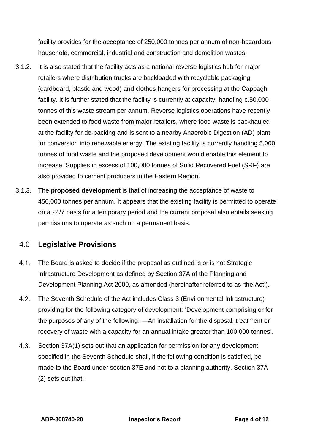facility provides for the acceptance of 250,000 tonnes per annum of non-hazardous household, commercial, industrial and construction and demolition wastes.

- 3.1.2. It is also stated that the facility acts as a national reverse logistics hub for major retailers where distribution trucks are backloaded with recyclable packaging (cardboard, plastic and wood) and clothes hangers for processing at the Cappagh facility. It is further stated that the facility is currently at capacity, handling c.50,000 tonnes of this waste stream per annum. Reverse logistics operations have recently been extended to food waste from major retailers, where food waste is backhauled at the facility for de-packing and is sent to a nearby Anaerobic Digestion (AD) plant for conversion into renewable energy. The existing facility is currently handling 5,000 tonnes of food waste and the proposed development would enable this element to increase. Supplies in excess of 100,000 tonnes of Solid Recovered Fuel (SRF) are also provided to cement producers in the Eastern Region.
- 3.1.3. The **proposed development** is that of increasing the acceptance of waste to 450,000 tonnes per annum. It appears that the existing facility is permitted to operate on a 24/7 basis for a temporary period and the current proposal also entails seeking permissions to operate as such on a permanent basis.

#### <span id="page-3-0"></span>4.0 **Legislative Provisions**

- $4.1.$ The Board is asked to decide if the proposal as outlined is or is not Strategic Infrastructure Development as defined by Section 37A of the Planning and Development Planning Act 2000, as amended (hereinafter referred to as 'the Act').
- $4.2.$ The Seventh Schedule of the Act includes Class 3 (Environmental Infrastructure) providing for the following category of development: 'Development comprising or for the purposes of any of the following: —An installation for the disposal, treatment or recovery of waste with a capacity for an annual intake greater than 100,000 tonnes'.
- $4.3.$ Section 37A(1) sets out that an application for permission for any development specified in the Seventh Schedule shall, if the following condition is satisfied, be made to the Board under section 37E and not to a planning authority. Section 37A (2) sets out that: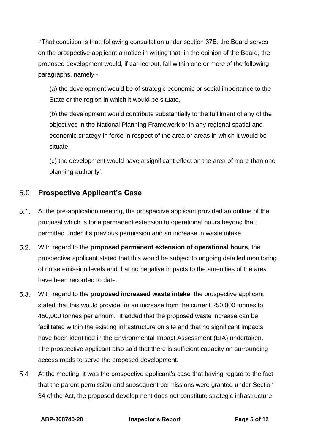-'That condition is that, following consultation under section 37B, the Board serves on the prospective applicant a notice in writing that, in the opinion of the Board, the proposed development would, if carried out, fall within one or more of the following paragraphs, namely -

(a) the development would be of strategic economic or social importance to the State or the region in which it would be situate,

(b) the development would contribute substantially to the fulfilment of any of the objectives in the National Planning Framework or in any regional spatial and economic strategy in force in respect of the area or areas in which it would be situate,

(c) the development would have a significant effect on the area of more than one planning authority'.

### <span id="page-4-0"></span>5.0 **Prospective Applicant's Case**

- $5.1.$ At the pre-application meeting, the prospective applicant provided an outline of the proposal which is for a permanent extension to operational hours beyond that permitted under it's previous permission and an increase in waste intake.
- $5.2.$ With regard to the **proposed permanent extension of operational hours**, the prospective applicant stated that this would be subject to ongoing detailed monitoring of noise emission levels and that no negative impacts to the amenities of the area have been recorded to date.
- $5.3.$ With regard to the **proposed increased waste intake**, the prospective applicant stated that this would provide for an increase from the current 250,000 tonnes to 450,000 tonnes per annum. It added that the proposed waste increase can be facilitated within the existing infrastructure on site and that no significant impacts have been identified in the Environmental Impact Assessment (EIA) undertaken. The prospective applicant also said that there is sufficient capacity on surrounding access roads to serve the proposed development.
- $5.4.$ At the meeting, it was the prospective applicant's case that having regard to the fact that the parent permission and subsequent permissions were granted under Section 34 of the Act, the proposed development does not constitute strategic infrastructure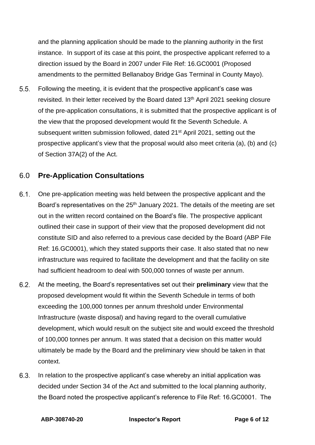and the planning application should be made to the planning authority in the first instance. In support of its case at this point, the prospective applicant referred to a direction issued by the Board in 2007 under File Ref: 16.GC0001 (Proposed amendments to the permitted Bellanaboy Bridge Gas Terminal in County Mayo).

 $5.5.$ Following the meeting, it is evident that the prospective applicant's case was revisited. In their letter received by the Board dated 13<sup>th</sup> April 2021 seeking closure of the pre-application consultations, it is submitted that the prospective applicant is of the view that the proposed development would fit the Seventh Schedule. A subsequent written submission followed, dated 21<sup>st</sup> April 2021, setting out the prospective applicant's view that the proposal would also meet criteria (a), (b) and (c) of Section 37A(2) of the Act.

#### <span id="page-5-0"></span>6.0 **Pre-Application Consultations**

- $6.1.$ One pre-application meeting was held between the prospective applicant and the Board's representatives on the 25<sup>th</sup> January 2021. The details of the meeting are set out in the written record contained on the Board's file. The prospective applicant outlined their case in support of their view that the proposed development did not constitute SID and also referred to a previous case decided by the Board (ABP File Ref: 16.GC0001), which they stated supports their case. It also stated that no new infrastructure was required to facilitate the development and that the facility on site had sufficient headroom to deal with 500,000 tonnes of waste per annum.
- $6.2.$ At the meeting, the Board's representatives set out their **preliminary** view that the proposed development would fit within the Seventh Schedule in terms of both exceeding the 100,000 tonnes per annum threshold under Environmental Infrastructure (waste disposal) and having regard to the overall cumulative development, which would result on the subject site and would exceed the threshold of 100,000 tonnes per annum. It was stated that a decision on this matter would ultimately be made by the Board and the preliminary view should be taken in that context.
- $6.3.$ In relation to the prospective applicant's case whereby an initial application was decided under Section 34 of the Act and submitted to the local planning authority, the Board noted the prospective applicant's reference to File Ref: 16.GC0001. The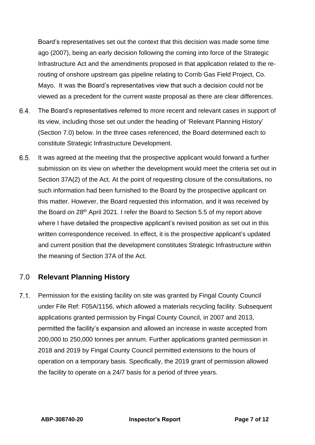Board's representatives set out the context that this decision was made some time ago (2007), being an early decision following the coming into force of the Strategic Infrastructure Act and the amendments proposed in that application related to the rerouting of onshore upstream gas pipeline relating to Corrib Gas Field Project, Co. Mayo. It was the Board's representatives view that such a decision could not be viewed as a precedent for the current waste proposal as there are clear differences.

- 6.4. The Board's representatives referred to more recent and relevant cases in support of its view, including those set out under the heading of 'Relevant Planning History' (Section 7.0) below. In the three cases referenced, the Board determined each to constitute Strategic Infrastructure Development.
- $6.5.$ It was agreed at the meeting that the prospective applicant would forward a further submission on its view on whether the development would meet the criteria set out in Section 37A(2) of the Act. At the point of requesting closure of the consultations, no such information had been furnished to the Board by the prospective applicant on this matter. However, the Board requested this information, and it was received by the Board on 28<sup>th</sup> April 2021. I refer the Board to Section 5.5 of my report above where I have detailed the prospective applicant's revised position as set out in this written correspondence received. In effect, it is the prospective applicant's updated and current position that the development constitutes Strategic Infrastructure within the meaning of Section 37A of the Act.

#### <span id="page-6-0"></span>7.0 **Relevant Planning History**

 $7.1.$ Permission for the existing facility on site was granted by Fingal County Council under File Ref: F05A/1156, which allowed a materials recycling facility. Subsequent applications granted permission by Fingal County Council, in 2007 and 2013, permitted the facility's expansion and allowed an increase in waste accepted from 200,000 to 250,000 tonnes per annum. Further applications granted permission in 2018 and 2019 by Fingal County Council permitted extensions to the hours of operation on a temporary basis. Specifically, the 2019 grant of permission allowed the facility to operate on a 24/7 basis for a period of three years.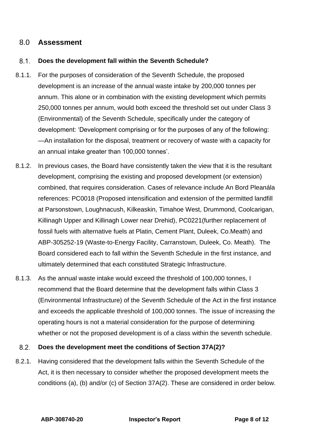#### <span id="page-7-0"></span>8.0 **Assessment**

#### $8.1$ **Does the development fall within the Seventh Schedule?**

- 8.1.1. For the purposes of consideration of the Seventh Schedule, the proposed development is an increase of the annual waste intake by 200,000 tonnes per annum. This alone or in combination with the existing development which permits 250,000 tonnes per annum, would both exceed the threshold set out under Class 3 (Environmental) of the Seventh Schedule, specifically under the category of development: 'Development comprising or for the purposes of any of the following: —An installation for the disposal, treatment or recovery of waste with a capacity for an annual intake greater than 100,000 tonnes'.
- 8.1.2. In previous cases, the Board have consistently taken the view that it is the resultant development, comprising the existing and proposed development (or extension) combined, that requires consideration. Cases of relevance include An Bord Pleanála references: PC0018 (Proposed intensification and extension of the permitted landfill at Parsonstown, Loughnacush, Kilkeaskin, Timahoe West, Drummond, Coolcarigan, Killinagh Upper and Killinagh Lower near Drehid), PC0221(further replacement of fossil fuels with alternative fuels at Platin, Cement Plant, Duleek, Co.Meath) and ABP-305252-19 (Waste-to-Energy Facility, Carranstown, Duleek, Co. Meath). The Board considered each to fall within the Seventh Schedule in the first instance, and ultimately determined that each constituted Strategic Infrastructure.
- 8.1.3. As the annual waste intake would exceed the threshold of 100,000 tonnes, I recommend that the Board determine that the development falls within Class 3 (Environmental Infrastructure) of the Seventh Schedule of the Act in the first instance and exceeds the applicable threshold of 100,000 tonnes. The issue of increasing the operating hours is not a material consideration for the purpose of determining whether or not the proposed development is of a class within the seventh schedule.

#### $8.2.$ **Does the development meet the conditions of Section 37A(2)?**

8.2.1. Having considered that the development falls within the Seventh Schedule of the Act, it is then necessary to consider whether the proposed development meets the conditions (a), (b) and/or (c) of Section 37A(2). These are considered in order below.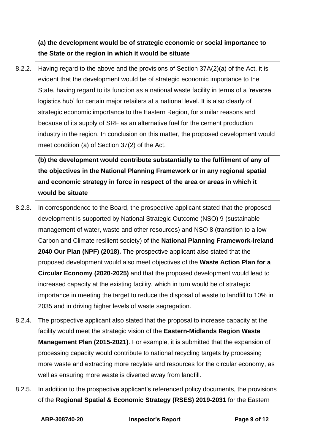### **(a) the development would be of strategic economic or social importance to the State or the region in which it would be situate**

8.2.2. Having regard to the above and the provisions of Section 37A(2)(a) of the Act, it is evident that the development would be of strategic economic importance to the State, having regard to its function as a national waste facility in terms of a 'reverse logistics hub' for certain major retailers at a national level. It is also clearly of strategic economic importance to the Eastern Region, for similar reasons and because of its supply of SRF as an alternative fuel for the cement production industry in the region. In conclusion on this matter, the proposed development would meet condition (a) of Section 37(2) of the Act.

**(b) the development would contribute substantially to the fulfilment of any of the objectives in the National Planning Framework or in any regional spatial and economic strategy in force in respect of the area or areas in which it would be situate**

- 8.2.3. In correspondence to the Board, the prospective applicant stated that the proposed development is supported by National Strategic Outcome (NSO) 9 (sustainable management of water, waste and other resources) and NSO 8 (transition to a low Carbon and Climate resilient society) of the **National Planning Framework-Ireland 2040 Our Plan (NPF) (2018).** The prospective applicant also stated that the proposed development would also meet objectives of the **Waste Action Plan for a Circular Economy (2020-2025)** and that the proposed development would lead to increased capacity at the existing facility, which in turn would be of strategic importance in meeting the target to reduce the disposal of waste to landfill to 10% in 2035 and in driving higher levels of waste segregation.
- 8.2.4. The prospective applicant also stated that the proposal to increase capacity at the facility would meet the strategic vision of the **Eastern-Midlands Region Waste Management Plan (2015-2021)**. For example, it is submitted that the expansion of processing capacity would contribute to national recycling targets by processing more waste and extracting more recylate and resources for the circular economy, as well as ensuring more waste is diverted away from landfill.
- 8.2.5. In addition to the prospective applicant's referenced policy documents, the provisions of the **Regional Spatial & Economic Strategy (RSES) 2019-2031** for the Eastern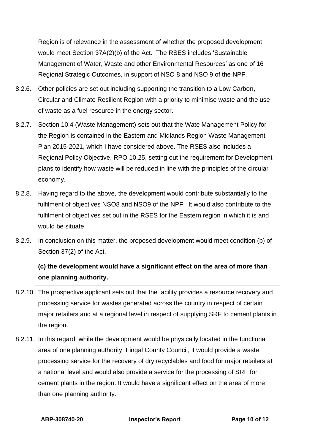Region is of relevance in the assessment of whether the proposed development would meet Section 37A(2)(b) of the Act. The RSES includes 'Sustainable Management of Water, Waste and other Environmental Resources' as one of 16 Regional Strategic Outcomes, in support of NSO 8 and NSO 9 of the NPF.

- 8.2.6. Other policies are set out including supporting the transition to a Low Carbon, Circular and Climate Resilient Region with a priority to minimise waste and the use of waste as a fuel resource in the energy sector.
- 8.2.7. Section 10.4 (Waste Management) sets out that the Wate Management Policy for the Region is contained in the Eastern and Midlands Region Waste Management Plan 2015-2021, which I have considered above. The RSES also includes a Regional Policy Objective, RPO 10.25, setting out the requirement for Development plans to identify how waste will be reduced in line with the principles of the circular economy.
- 8.2.8. Having regard to the above, the development would contribute substantially to the fulfilment of objectives NSO8 and NSO9 of the NPF. It would also contribute to the fulfilment of objectives set out in the RSES for the Eastern region in which it is and would be situate.
- 8.2.9. In conclusion on this matter, the proposed development would meet condition (b) of Section 37(2) of the Act.

### **(c) the development would have a significant effect on the area of more than one planning authority.**

- 8.2.10. The prospective applicant sets out that the facility provides a resource recovery and processing service for wastes generated across the country in respect of certain major retailers and at a regional level in respect of supplying SRF to cement plants in the region.
- 8.2.11. In this regard, while the development would be physically located in the functional area of one planning authority, Fingal County Council, it would provide a waste processing service for the recovery of dry recyclables and food for major retailers at a national level and would also provide a service for the processing of SRF for cement plants in the region. It would have a significant effect on the area of more than one planning authority.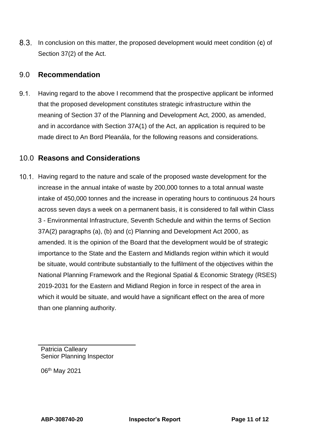In conclusion on this matter, the proposed development would meet condition (**c**) of Section 37(2) of the Act.

#### <span id="page-10-0"></span>9.0 **Recommendation**

 $9.1.$ Having regard to the above I recommend that the prospective applicant be informed that the proposed development constitutes strategic infrastructure within the meaning of Section 37 of the Planning and Development Act, 2000, as amended, and in accordance with Section 37A(1) of the Act, an application is required to be made direct to An Bord Pleanála, for the following reasons and considerations.

#### <span id="page-10-1"></span>10.0 **Reasons and Considerations**

10.1. Having regard to the nature and scale of the proposed waste development for the increase in the annual intake of waste by 200,000 tonnes to a total annual waste intake of 450,000 tonnes and the increase in operating hours to continuous 24 hours across seven days a week on a permanent basis, it is considered to fall within Class 3 - Environmental Infrastructure, Seventh Schedule and within the terms of Section 37A(2) paragraphs (a), (b) and (c) Planning and Development Act 2000, as amended. It is the opinion of the Board that the development would be of strategic importance to the State and the Eastern and Midlands region within which it would be situate, would contribute substantially to the fulfilment of the objectives within the National Planning Framework and the Regional Spatial & Economic Strategy (RSES) 2019-2031 for the Eastern and Midland Region in force in respect of the area in which it would be situate, and would have a significant effect on the area of more than one planning authority.

Patricia Calleary Senior Planning Inspector

06<sup>th</sup> May 2021